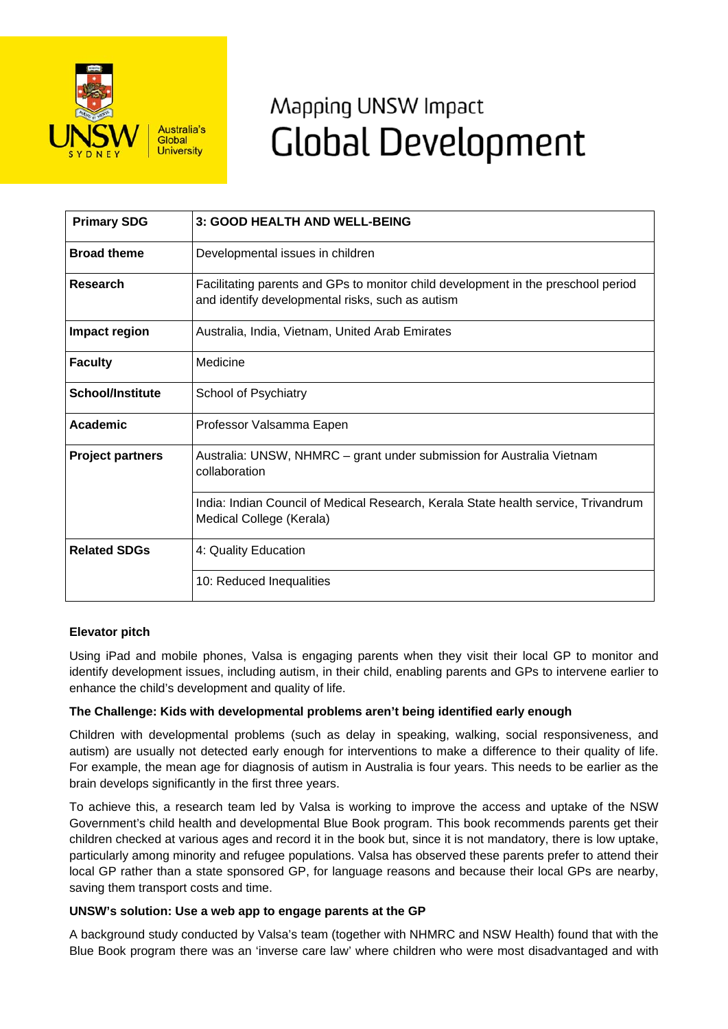

# Mapping UNSW Impact **Global Development**

| <b>Primary SDG</b>      | 3: GOOD HEALTH AND WELL-BEING                                                                                                         |
|-------------------------|---------------------------------------------------------------------------------------------------------------------------------------|
| <b>Broad theme</b>      | Developmental issues in children                                                                                                      |
| Research                | Facilitating parents and GPs to monitor child development in the preschool period<br>and identify developmental risks, such as autism |
| Impact region           | Australia, India, Vietnam, United Arab Emirates                                                                                       |
| <b>Faculty</b>          | Medicine                                                                                                                              |
| <b>School/Institute</b> | School of Psychiatry                                                                                                                  |
| Academic                | Professor Valsamma Eapen                                                                                                              |
| <b>Project partners</b> | Australia: UNSW, NHMRC – grant under submission for Australia Vietnam<br>collaboration                                                |
|                         | India: Indian Council of Medical Research, Kerala State health service, Trivandrum<br>Medical College (Kerala)                        |
| <b>Related SDGs</b>     | 4: Quality Education                                                                                                                  |
|                         | 10: Reduced Inequalities                                                                                                              |

## **Elevator pitch**

Using iPad and mobile phones, Valsa is engaging parents when they visit their local GP to monitor and identify development issues, including autism, in their child, enabling parents and GPs to intervene earlier to enhance the child's development and quality of life.

## **The Challenge: Kids with developmental problems aren't being identified early enough**

Children with developmental problems (such as delay in speaking, walking, social responsiveness, and autism) are usually not detected early enough for interventions to make a difference to their quality of life. For example, the mean age for diagnosis of autism in Australia is four years. This needs to be earlier as the brain develops significantly in the first three years.

To achieve this, a research team led by Valsa is working to improve the access and uptake of the NSW Government's child health and developmental Blue Book program. This book recommends parents get their children checked at various ages and record it in the book but, since it is not mandatory, there is low uptake, particularly among minority and refugee populations. Valsa has observed these parents prefer to attend their local GP rather than a state sponsored GP, for language reasons and because their local GPs are nearby, saving them transport costs and time.

## **UNSW's solution: Use a web app to engage parents at the GP**

A background study conducted by Valsa's team (together with NHMRC and NSW Health) found that with the Blue Book program there was an 'inverse care law' where children who were most disadvantaged and with